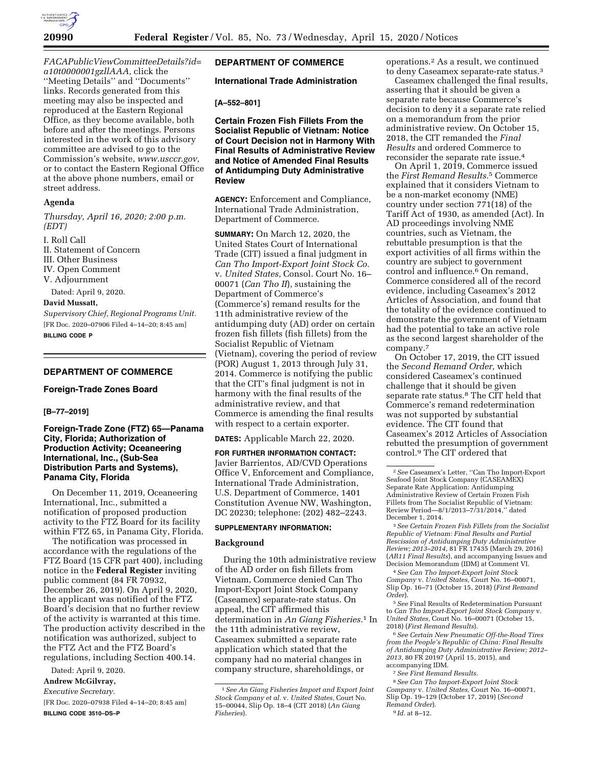

# *[FACAPublicViewCommitteeDetails?id=](https://www.facadatabase.gov/FACA/FACAPublicViewCommitteeDetails?id=a10t0000001gzllAAA) [a10t0000001gzllAAA,](https://www.facadatabase.gov/FACA/FACAPublicViewCommitteeDetails?id=a10t0000001gzllAAA)* click the ''Meeting Details'' and ''Documents'' links. Records generated from this meeting may also be inspected and reproduced at the Eastern Regional Office, as they become available, both before and after the meetings. Persons interested in the work of this advisory committee are advised to go to the Commission's website, *[www.usccr.gov,](http://www.usccr.gov)*  or to contact the Eastern Regional Office at the above phone numbers, email or street address.

# **Agenda**

*Thursday, April 16, 2020; 2:00 p.m. (EDT)* 

I. Roll Call II. Statement of Concern

III. Other Business

IV. Open Comment

V. Adjournment

Dated: April 9, 2020.

#### **David Mussatt,**

*Supervisory Chief, Regional Programs Unit.*  [FR Doc. 2020–07906 Filed 4–14–20; 8:45 am] **BILLING CODE P** 

# **DEPARTMENT OF COMMERCE**

### **Foreign-Trade Zones Board**

### **[B–77–2019]**

# **Foreign-Trade Zone (FTZ) 65—Panama City, Florida; Authorization of Production Activity; Oceaneering International, Inc., (Sub-Sea Distribution Parts and Systems), Panama City, Florida**

On December 11, 2019, Oceaneering International, Inc., submitted a notification of proposed production activity to the FTZ Board for its facility within FTZ 65, in Panama City, Florida.

The notification was processed in accordance with the regulations of the FTZ Board (15 CFR part 400), including notice in the **Federal Register** inviting public comment (84 FR 70932, December 26, 2019). On April 9, 2020, the applicant was notified of the FTZ Board's decision that no further review of the activity is warranted at this time. The production activity described in the notification was authorized, subject to the FTZ Act and the FTZ Board's regulations, including Section 400.14.

Dated: April 9, 2020.

# **Andrew McGilvray,**

*Executive Secretary.* 

[FR Doc. 2020–07938 Filed 4–14–20; 8:45 am] **BILLING CODE 3510–DS–P** 

# **DEPARTMENT OF COMMERCE**

### **International Trade Administration**

#### **[A–552–801]**

**Certain Frozen Fish Fillets From the Socialist Republic of Vietnam: Notice of Court Decision not in Harmony With Final Results of Administrative Review and Notice of Amended Final Results of Antidumping Duty Administrative Review** 

**AGENCY:** Enforcement and Compliance, International Trade Administration, Department of Commerce.

**SUMMARY:** On March 12, 2020, the United States Court of International Trade (CIT) issued a final judgment in *Can Tho Import-Export Joint Stock Co.*  v. *United States,* Consol. Court No. 16– 00071 (*Can Tho II*), sustaining the Department of Commerce's (Commerce's) remand results for the 11th administrative review of the antidumping duty (AD) order on certain frozen fish fillets (fish fillets) from the Socialist Republic of Vietnam (Vietnam), covering the period of review (POR) August 1, 2013 through July 31, 2014. Commerce is notifying the public that the CIT's final judgment is not in harmony with the final results of the administrative review, and that Commerce is amending the final results with respect to a certain exporter.

**DATES:** Applicable March 22, 2020.

**FOR FURTHER INFORMATION CONTACT:**  Javier Barrientos, AD/CVD Operations Office V, Enforcement and Compliance, International Trade Administration, U.S. Department of Commerce, 1401 Constitution Avenue NW, Washington, DC 20230; telephone: (202) 482–2243.

### **SUPPLEMENTARY INFORMATION:**

#### **Background**

During the 10th administrative review of the AD order on fish fillets from Vietnam, Commerce denied Can Tho Import-Export Joint Stock Company (Caseamex) separate-rate status. On appeal, the CIT affirmed this determination in *An Giang Fisheries.*1 In the 11th administrative review, Caseamex submitted a separate rate application which stated that the company had no material changes in company structure, shareholdings, or

operations.2 As a result, we continued to deny Caseamex separate-rate status.3

Caseamex challenged the final results, asserting that it should be given a separate rate because Commerce's decision to deny it a separate rate relied on a memorandum from the prior administrative review. On October 15, 2018, the CIT remanded the *Final Results* and ordered Commerce to reconsider the separate rate issue.4

On April 1, 2019, Commerce issued the *First Remand Results.*5 Commerce explained that it considers Vietnam to be a non-market economy (NME) country under section 771(18) of the Tariff Act of 1930, as amended (Act). In AD proceedings involving NME countries, such as Vietnam, the rebuttable presumption is that the export activities of all firms within the country are subject to government control and influence.<sup>6</sup> On remand, Commerce considered all of the record evidence, including Caseamex's 2012 Articles of Association, and found that the totality of the evidence continued to demonstrate the government of Vietnam had the potential to take an active role as the second largest shareholder of the company.7

On October 17, 2019, the CIT issued the *Second Remand Order,* which considered Caseamex's continued challenge that it should be given separate rate status.8 The CIT held that Commerce's remand redetermination was not supported by substantial evidence. The CIT found that Caseamex's 2012 Articles of Association rebutted the presumption of government control.9 The CIT ordered that

*Republic of Vietnam: Final Results and Partial Rescission of Antidumping Duty Administrative Review; 2013–2014,* 81 FR 17435 (March 29, 2016) (*AR11 Final Results*), and accompanying Issues and

<sup>4</sup> See Can Tho Import-Export Joint Stock *Company* v. *United States,* Court No. 16–00071, Slip Op. 16–71 (October 15, 2018) (*First Remand* 

<sup>5</sup> See Final Results of Redetermination Pursuant to *Can Tho Import-Export Joint Stock Company* v. *United States, Court No. 16–00071 (October 15, 2018) (First Remand Results).* 

2018) (*First Remand Results*). 6*See Certain New Pneumatic Off-the-Road Tires from the People's Republic of China: Final Results of Antidumping Duty Administrative Review; 2012– 2013,* 80 FR 20197 (April 15, 2015), and

accompanying IDM. 7*See First Remand Results.* 

8*See Can Tho Import-Export Joint Stock Company* v. *United States,* Court No. 16–00071, Slip Op. 19–129 (October 17, 2019) (*Second Remand Order*). 9 *Id.* at 8–12.

<sup>1</sup>*See An Giang Fisheries Import and Export Joint Stock Company et al.* v. *United States,* Court No. 15–00044, Slip Op. 18–4 (CIT 2018) (*An Giang Fisheries*).

<sup>2</sup>*See* Caseamex's Letter, ''Can Tho Import-Export Seafood Joint Stock Company (CASEAMEX) Separate Rate Application: Antidumping Administrative Review of Certain Frozen Fish Fillets from The Socialist Republic of Vietnam: Review Period—8/1/2013–7/31/2014,'' dated December 1, 2014. 3*See Certain Frozen Fish Fillets from the Socialist*